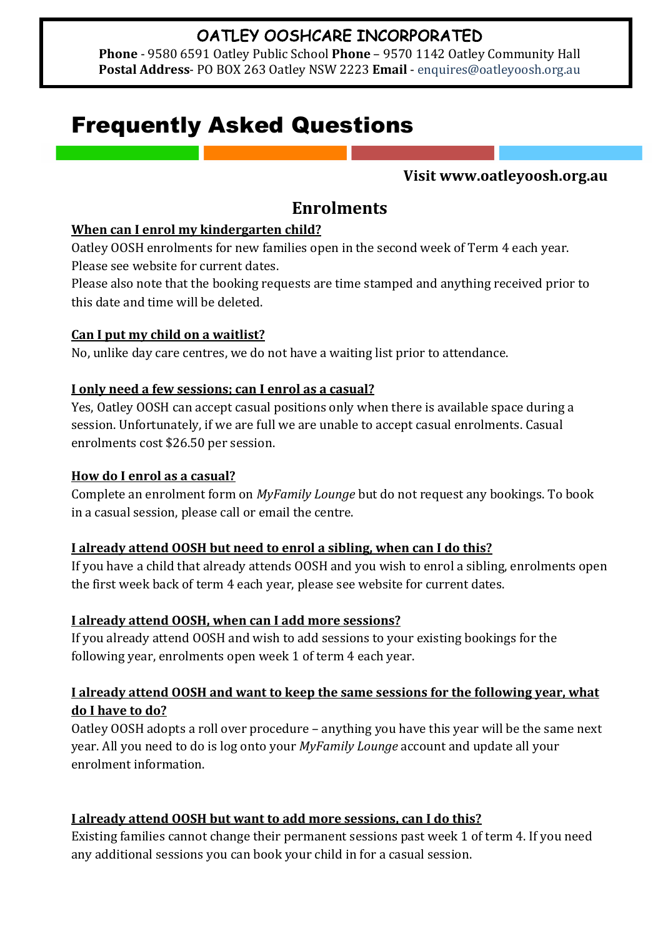# OATLEY OOSHCARE INCORPORATED

**Phone** - 9580 6591 Oatley Public School Phone - 9570 1142 Oatley Community Hall Postal Address- PO BOX 263 Oatley NSW 2223 Email - enquires@oatleyoosh.org.au

# Frequently Asked Questions

#### **Visit www.oatleyoosh.org.au**

# **Enrolments**

#### **When can I enrol my kindergarten child?**

Oatley OOSH enrolments for new families open in the second week of Term 4 each year. Please see website for current dates.

Please also note that the booking requests are time stamped and anything received prior to this date and time will be deleted.

#### **Can I put my child on a waitlist?**

No, unlike day care centres, we do not have a waiting list prior to attendance.

## I only need a few sessions; can I enrol as a casual?

Yes, Oatley OOSH can accept casual positions only when there is available space during a session. Unfortunately, if we are full we are unable to accept casual enrolments. Casual enrolments cost \$26.50 per session.

#### **How do I enrol as a casual?**

Complete an enrolment form on *MyFamily Lounge* but do not request any bookings. To book in a casual session, please call or email the centre.

#### **I** already attend OOSH but need to enrol a sibling, when can I do this?

If you have a child that already attends OOSH and you wish to enrol a sibling, enrolments open the first week back of term 4 each year, please see website for current dates.

# **I** already attend OOSH, when can I add more sessions?

If you already attend OOSH and wish to add sessions to your existing bookings for the following year, enrolments open week 1 of term 4 each year.

## **I** already attend OOSH and want to keep the same sessions for the following year, what do I have to do?

Oatley OOSH adopts a roll over procedure - anything you have this year will be the same next year. All you need to do is log onto your *MyFamily Lounge* account and update all your enrolment information.

# **I** already attend OOSH but want to add more sessions, can I do this?

Existing families cannot change their permanent sessions past week 1 of term 4. If you need any additional sessions you can book your child in for a casual session.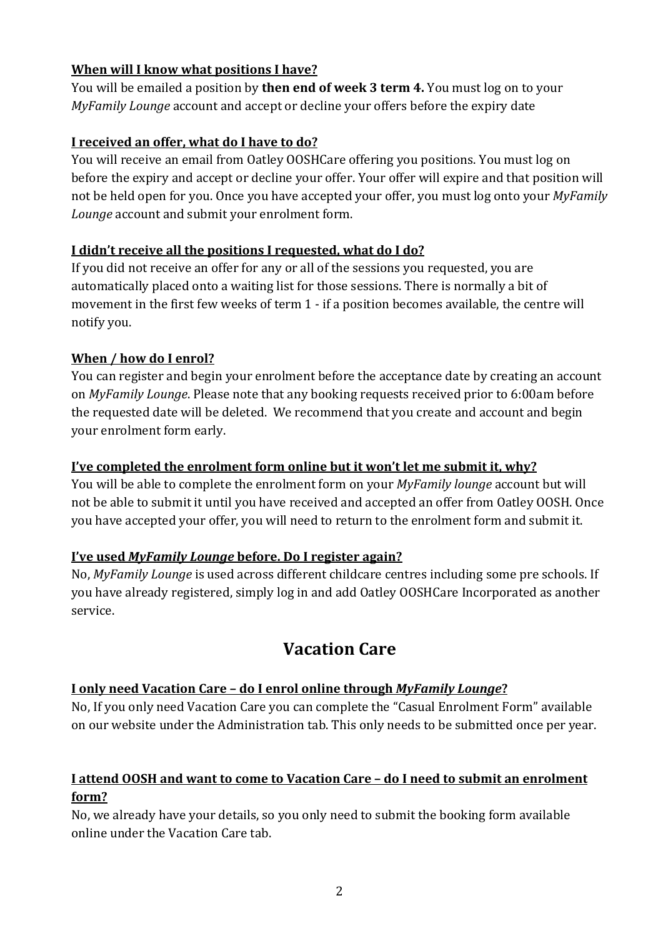# **When will I know what positions I have?**

You will be emailed a position by **then end of week 3 term 4.** You must log on to your *MyFamily Lounge* account and accept or decline your offers before the expiry date

# **I** received an offer, what do I have to do?

You will receive an email from Oatley OOSHCare offering you positions. You must log on before the expiry and accept or decline your offer. Your offer will expire and that position will not be held open for you. Once you have accepted your offer, you must log onto your *MyFamily* Lounge account and submit your enrolment form.

## I didn't receive all the positions I requested, what do I do?

If you did not receive an offer for any or all of the sessions you requested, you are automatically placed onto a waiting list for those sessions. There is normally a bit of movement in the first few weeks of term  $1$  - if a position becomes available, the centre will notify you.

# When / how do I enrol?

You can register and begin your enrolment before the acceptance date by creating an account on *MyFamily Lounge*. Please note that any booking requests received prior to 6:00am before the requested date will be deleted. We recommend that you create and account and begin your enrolment form early.

## **I've completed the enrolment form online but it won't let me submit it, why?**

You will be able to complete the enrolment form on your *MyFamily lounge* account but will not be able to submit it until you have received and accepted an offer from Oatley OOSH. Once you have accepted your offer, you will need to return to the enrolment form and submit it.

#### *I've* used *MyFamily Lounge* before. Do I register again?

No, *MyFamily Lounge* is used across different childcare centres including some pre schools. If you have already registered, simply log in and add Oatley OOSHCare Incorporated as another service.

# **Vacation Care**

# **I** only need Vacation Care - do I enrol online through *MyFamily Lounge*?

No, If you only need Vacation Care you can complete the "Casual Enrolment Form" available on our website under the Administration tab. This only needs to be submitted once per year.

# **I** attend OOSH and want to come to Vacation Care - do I need to submit an enrolment **form?**

No, we already have your details, so you only need to submit the booking form available online under the Vacation Care tab.